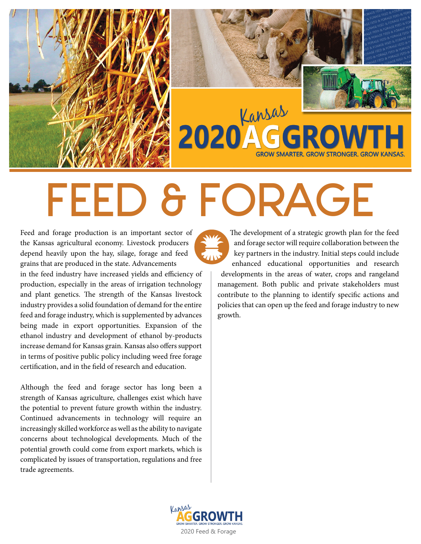

# FEED & FORAGE

Feed and forage production is an important sector of the Kansas agricultural economy. Livestock producers depend heavily upon the hay, silage, forage and feed grains that are produced in the state. Advancements in the feed industry have increased yields and efficiency of production, especially in the areas of irrigation technology and plant genetics. The strength of the Kansas livestock industry provides a solid foundation of demand for the entire feed and forage industry, which is supplemented by advances being made in export opportunities. Expansion of the ethanol industry and development of ethanol by-products increase demand for Kansas grain. Kansas also offers support in terms of positive public policy including weed free forage certification, and in the field of research and education.

Although the feed and forage sector has long been a strength of Kansas agriculture, challenges exist which have the potential to prevent future growth within the industry. Continued advancements in technology will require an increasingly skilled workforce as well as the ability to navigate concerns about technological developments. Much of the potential growth could come from export markets, which is complicated by issues of transportation, regulations and free trade agreements.

The development of a strategic growth plan for the feed and forage sector will require collaboration between the key partners in the industry. Initial steps could include enhanced educational opportunities and research

developments in the areas of water, crops and rangeland management. Both public and private stakeholders must contribute to the planning to identify specific actions and policies that can open up the feed and forage industry to new growth.

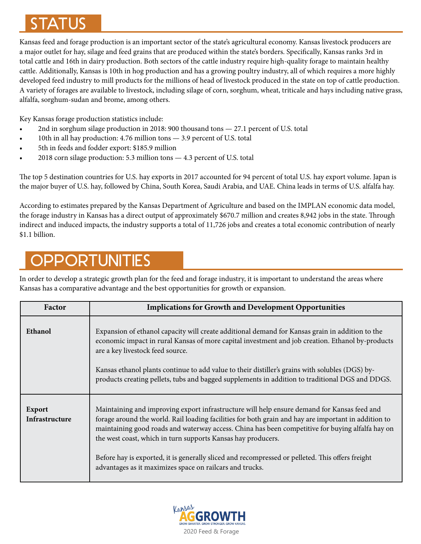## STATUS

Kansas feed and forage production is an important sector of the state's agricultural economy. Kansas livestock producers are a major outlet for hay, silage and feed grains that are produced within the state's borders. Specifically, Kansas ranks 3rd in total cattle and 16th in dairy production. Both sectors of the cattle industry require high-quality forage to maintain healthy cattle. Additionally, Kansas is 10th in hog production and has a growing poultry industry, all of which requires a more highly developed feed industry to mill products for the millions of head of livestock produced in the state on top of cattle production. A variety of forages are available to livestock, including silage of corn, sorghum, wheat, triticale and hays including native grass, alfalfa, sorghum-sudan and brome, among others.

Key Kansas forage production statistics include:

- 2nd in sorghum silage production in 2018: 900 thousand tons 27.1 percent of U.S. total
- 10th in all hay production: 4.76 million tons 3.9 percent of U.S. total
- 5th in feeds and fodder export: \$185.9 million
- 2018 corn silage production: 5.3 million tons 4.3 percent of U.S. total

The top 5 destination countries for U.S. hay exports in 2017 accounted for 94 percent of total U.S. hay export volume. Japan is the major buyer of U.S. hay, followed by China, South Korea, Saudi Arabia, and UAE. China leads in terms of U.S. alfalfa hay.

According to estimates prepared by the Kansas Department of Agriculture and based on the IMPLAN economic data model, the forage industry in Kansas has a direct output of approximately \$670.7 million and creates 8,942 jobs in the state. Through indirect and induced impacts, the industry supports a total of 11,726 jobs and creates a total economic contribution of nearly \$1.1 billion.

## PPORTUNITIES

In order to develop a strategic growth plan for the feed and forage industry, it is important to understand the areas where Kansas has a comparative advantage and the best opportunities for growth or expansion.

| Factor                          | <b>Implications for Growth and Development Opportunities</b>                                                                                                                                                                                                                                                                                                                                                                                                                                                                            |
|---------------------------------|-----------------------------------------------------------------------------------------------------------------------------------------------------------------------------------------------------------------------------------------------------------------------------------------------------------------------------------------------------------------------------------------------------------------------------------------------------------------------------------------------------------------------------------------|
| Ethanol                         | Expansion of ethanol capacity will create additional demand for Kansas grain in addition to the<br>economic impact in rural Kansas of more capital investment and job creation. Ethanol by-products<br>are a key livestock feed source.                                                                                                                                                                                                                                                                                                 |
|                                 | Kansas ethanol plants continue to add value to their distiller's grains with solubles (DGS) by-<br>products creating pellets, tubs and bagged supplements in addition to traditional DGS and DDGS.                                                                                                                                                                                                                                                                                                                                      |
| <b>Export</b><br>Infrastructure | Maintaining and improving export infrastructure will help ensure demand for Kansas feed and<br>forage around the world. Rail loading facilities for both grain and hay are important in addition to<br>maintaining good roads and waterway access. China has been competitive for buying alfalfa hay on<br>the west coast, which in turn supports Kansas hay producers.<br>Before hay is exported, it is generally sliced and recompressed or pelleted. This offers freight<br>advantages as it maximizes space on railcars and trucks. |

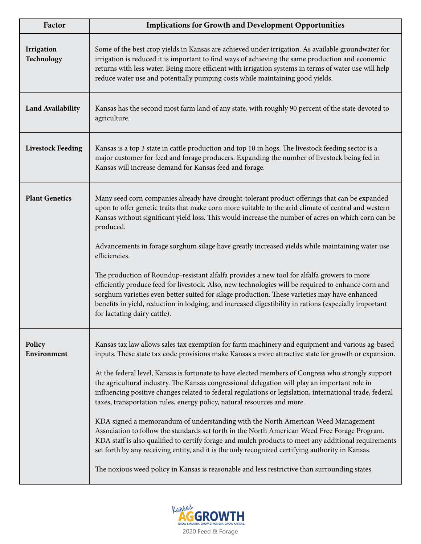| Factor                   | <b>Implications for Growth and Development Opportunities</b>                                                                                                                                                                                                                                                                                                                                                                                                                                                                                                                                                                                                                                                                                                                                                                                                                                                                                                                                                                                                                                            |
|--------------------------|---------------------------------------------------------------------------------------------------------------------------------------------------------------------------------------------------------------------------------------------------------------------------------------------------------------------------------------------------------------------------------------------------------------------------------------------------------------------------------------------------------------------------------------------------------------------------------------------------------------------------------------------------------------------------------------------------------------------------------------------------------------------------------------------------------------------------------------------------------------------------------------------------------------------------------------------------------------------------------------------------------------------------------------------------------------------------------------------------------|
| Irrigation<br>Technology | Some of the best crop yields in Kansas are achieved under irrigation. As available groundwater for<br>irrigation is reduced it is important to find ways of achieving the same production and economic<br>returns with less water. Being more efficient with irrigation systems in terms of water use will help<br>reduce water use and potentially pumping costs while maintaining good yields.                                                                                                                                                                                                                                                                                                                                                                                                                                                                                                                                                                                                                                                                                                        |
| <b>Land Availability</b> | Kansas has the second most farm land of any state, with roughly 90 percent of the state devoted to<br>agriculture.                                                                                                                                                                                                                                                                                                                                                                                                                                                                                                                                                                                                                                                                                                                                                                                                                                                                                                                                                                                      |
| <b>Livestock Feeding</b> | Kansas is a top 3 state in cattle production and top 10 in hogs. The livestock feeding sector is a<br>major customer for feed and forage producers. Expanding the number of livestock being fed in<br>Kansas will increase demand for Kansas feed and forage.                                                                                                                                                                                                                                                                                                                                                                                                                                                                                                                                                                                                                                                                                                                                                                                                                                           |
| <b>Plant Genetics</b>    | Many seed corn companies already have drought-tolerant product offerings that can be expanded<br>upon to offer genetic traits that make corn more suitable to the arid climate of central and western<br>Kansas without significant yield loss. This would increase the number of acres on which corn can be<br>produced.<br>Advancements in forage sorghum silage have greatly increased yields while maintaining water use<br>efficiencies.<br>The production of Roundup-resistant alfalfa provides a new tool for alfalfa growers to more<br>efficiently produce feed for livestock. Also, new technologies will be required to enhance corn and<br>sorghum varieties even better suited for silage production. These varieties may have enhanced<br>benefits in yield, reduction in lodging, and increased digestibility in rations (especially important<br>for lactating dairy cattle).                                                                                                                                                                                                           |
| Policy<br>Environment    | Kansas tax law allows sales tax exemption for farm machinery and equipment and various ag-based<br>inputs. These state tax code provisions make Kansas a more attractive state for growth or expansion.<br>At the federal level, Kansas is fortunate to have elected members of Congress who strongly support<br>the agricultural industry. The Kansas congressional delegation will play an important role in<br>influencing positive changes related to federal regulations or legislation, international trade, federal<br>taxes, transportation rules, energy policy, natural resources and more.<br>KDA signed a memorandum of understanding with the North American Weed Management<br>Association to follow the standards set forth in the North American Weed Free Forage Program.<br>KDA staff is also qualified to certify forage and mulch products to meet any additional requirements<br>set forth by any receiving entity, and it is the only recognized certifying authority in Kansas.<br>The noxious weed policy in Kansas is reasonable and less restrictive than surrounding states. |

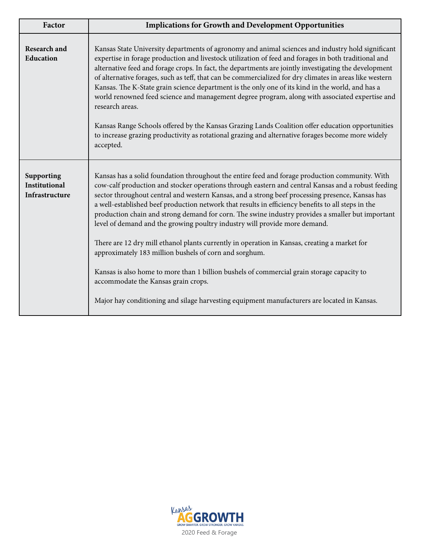| Factor                                               | <b>Implications for Growth and Development Opportunities</b>                                                                                                                                                                                                                                                                                                                                                                                                                                                                                                                                                                                                                                                                                                                                                                                                                                                                                                                                  |
|------------------------------------------------------|-----------------------------------------------------------------------------------------------------------------------------------------------------------------------------------------------------------------------------------------------------------------------------------------------------------------------------------------------------------------------------------------------------------------------------------------------------------------------------------------------------------------------------------------------------------------------------------------------------------------------------------------------------------------------------------------------------------------------------------------------------------------------------------------------------------------------------------------------------------------------------------------------------------------------------------------------------------------------------------------------|
| <b>Research and</b><br>Education                     | Kansas State University departments of agronomy and animal sciences and industry hold significant<br>expertise in forage production and livestock utilization of feed and forages in both traditional and<br>alternative feed and forage crops. In fact, the departments are jointly investigating the development<br>of alternative forages, such as teff, that can be commercialized for dry climates in areas like western<br>Kansas. The K-State grain science department is the only one of its kind in the world, and has a<br>world renowned feed science and management degree program, along with associated expertise and<br>research areas.<br>Kansas Range Schools offered by the Kansas Grazing Lands Coalition offer education opportunities<br>to increase grazing productivity as rotational grazing and alternative forages become more widely<br>accepted.                                                                                                                  |
| Supporting<br><b>Institutional</b><br>Infrastructure | Kansas has a solid foundation throughout the entire feed and forage production community. With<br>cow-calf production and stocker operations through eastern and central Kansas and a robust feeding<br>sector throughout central and western Kansas, and a strong beef processing presence, Kansas has<br>a well-established beef production network that results in efficiency benefits to all steps in the<br>production chain and strong demand for corn. The swine industry provides a smaller but important<br>level of demand and the growing poultry industry will provide more demand.<br>There are 12 dry mill ethanol plants currently in operation in Kansas, creating a market for<br>approximately 183 million bushels of corn and sorghum.<br>Kansas is also home to more than 1 billion bushels of commercial grain storage capacity to<br>accommodate the Kansas grain crops.<br>Major hay conditioning and silage harvesting equipment manufacturers are located in Kansas. |

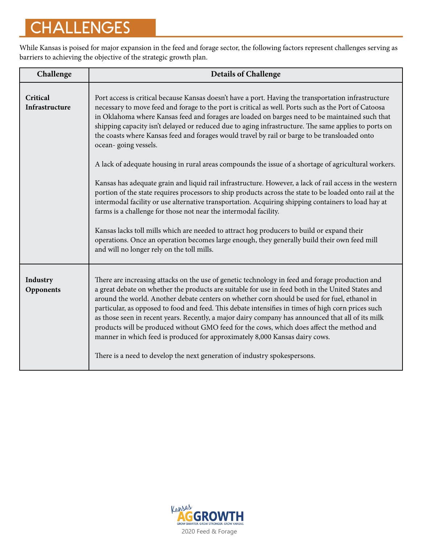# **CHALLENGES**

While Kansas is poised for major expansion in the feed and forage sector, the following factors represent challenges serving as barriers to achieving the objective of the strategic growth plan.

| Challenge                  | <b>Details of Challenge</b>                                                                                                                                                                                                                                                                                                                                                                                                                                                                                                                                                                                                                                                                                                                                                                                                                                                                                                                                                                                                                                                                                                                             |
|----------------------------|---------------------------------------------------------------------------------------------------------------------------------------------------------------------------------------------------------------------------------------------------------------------------------------------------------------------------------------------------------------------------------------------------------------------------------------------------------------------------------------------------------------------------------------------------------------------------------------------------------------------------------------------------------------------------------------------------------------------------------------------------------------------------------------------------------------------------------------------------------------------------------------------------------------------------------------------------------------------------------------------------------------------------------------------------------------------------------------------------------------------------------------------------------|
| Critical<br>Infrastructure | Port access is critical because Kansas doesn't have a port. Having the transportation infrastructure<br>necessary to move feed and forage to the port is critical as well. Ports such as the Port of Catoosa<br>in Oklahoma where Kansas feed and forages are loaded on barges need to be maintained such that<br>shipping capacity isn't delayed or reduced due to aging infrastructure. The same applies to ports on<br>the coasts where Kansas feed and forages would travel by rail or barge to be transloaded onto<br>ocean-going vessels.<br>A lack of adequate housing in rural areas compounds the issue of a shortage of agricultural workers.<br>Kansas has adequate grain and liquid rail infrastructure. However, a lack of rail access in the western<br>portion of the state requires processors to ship products across the state to be loaded onto rail at the<br>intermodal facility or use alternative transportation. Acquiring shipping containers to load hay at<br>farms is a challenge for those not near the intermodal facility.<br>Kansas lacks toll mills which are needed to attract hog producers to build or expand their |
|                            | operations. Once an operation becomes large enough, they generally build their own feed mill<br>and will no longer rely on the toll mills.                                                                                                                                                                                                                                                                                                                                                                                                                                                                                                                                                                                                                                                                                                                                                                                                                                                                                                                                                                                                              |
| Industry<br>Opponents      | There are increasing attacks on the use of genetic technology in feed and forage production and<br>a great debate on whether the products are suitable for use in feed both in the United States and<br>around the world. Another debate centers on whether corn should be used for fuel, ethanol in<br>particular, as opposed to food and feed. This debate intensifies in times of high corn prices such<br>as those seen in recent years. Recently, a major dairy company has announced that all of its milk<br>products will be produced without GMO feed for the cows, which does affect the method and<br>manner in which feed is produced for approximately 8,000 Kansas dairy cows.<br>There is a need to develop the next generation of industry spokespersons.                                                                                                                                                                                                                                                                                                                                                                                |

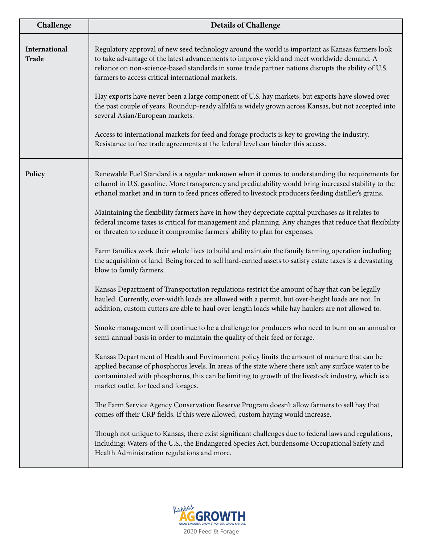| Challenge              | <b>Details of Challenge</b>                                                                                                                                                                                                                                                                                                                                                                                                                                                                                                                                                                                                                                                                                                                                                                |
|------------------------|--------------------------------------------------------------------------------------------------------------------------------------------------------------------------------------------------------------------------------------------------------------------------------------------------------------------------------------------------------------------------------------------------------------------------------------------------------------------------------------------------------------------------------------------------------------------------------------------------------------------------------------------------------------------------------------------------------------------------------------------------------------------------------------------|
| International<br>Trade | Regulatory approval of new seed technology around the world is important as Kansas farmers look<br>to take advantage of the latest advancements to improve yield and meet worldwide demand. A<br>reliance on non-science-based standards in some trade partner nations disrupts the ability of U.S.<br>farmers to access critical international markets.<br>Hay exports have never been a large component of U.S. hay markets, but exports have slowed over<br>the past couple of years. Roundup-ready alfalfa is widely grown across Kansas, but not accepted into<br>several Asian/European markets.<br>Access to international markets for feed and forage products is key to growing the industry.<br>Resistance to free trade agreements at the federal level can hinder this access. |
| Policy                 | Renewable Fuel Standard is a regular unknown when it comes to understanding the requirements for<br>ethanol in U.S. gasoline. More transparency and predictability would bring increased stability to the<br>ethanol market and in turn to feed prices offered to livestock producers feeding distiller's grains.<br>Maintaining the flexibility farmers have in how they depreciate capital purchases as it relates to<br>federal income taxes is critical for management and planning. Any changes that reduce that flexibility<br>or threaten to reduce it compromise farmers' ability to plan for expenses.                                                                                                                                                                            |
|                        | Farm families work their whole lives to build and maintain the family farming operation including<br>the acquisition of land. Being forced to sell hard-earned assets to satisfy estate taxes is a devastating<br>blow to family farmers.                                                                                                                                                                                                                                                                                                                                                                                                                                                                                                                                                  |
|                        | Kansas Department of Transportation regulations restrict the amount of hay that can be legally<br>hauled. Currently, over-width loads are allowed with a permit, but over-height loads are not. In<br>addition, custom cutters are able to haul over-length loads while hay haulers are not allowed to.                                                                                                                                                                                                                                                                                                                                                                                                                                                                                    |
|                        | Smoke management will continue to be a challenge for producers who need to burn on an annual or<br>semi-annual basis in order to maintain the quality of their feed or forage.                                                                                                                                                                                                                                                                                                                                                                                                                                                                                                                                                                                                             |
|                        | Kansas Department of Health and Environment policy limits the amount of manure that can be<br>applied because of phosphorus levels. In areas of the state where there isn't any surface water to be<br>contaminated with phosphorus, this can be limiting to growth of the livestock industry, which is a<br>market outlet for feed and forages.                                                                                                                                                                                                                                                                                                                                                                                                                                           |
|                        | The Farm Service Agency Conservation Reserve Program doesn't allow farmers to sell hay that<br>comes off their CRP fields. If this were allowed, custom haying would increase.                                                                                                                                                                                                                                                                                                                                                                                                                                                                                                                                                                                                             |
|                        | Though not unique to Kansas, there exist significant challenges due to federal laws and regulations,<br>including: Waters of the U.S., the Endangered Species Act, burdensome Occupational Safety and<br>Health Administration regulations and more.                                                                                                                                                                                                                                                                                                                                                                                                                                                                                                                                       |

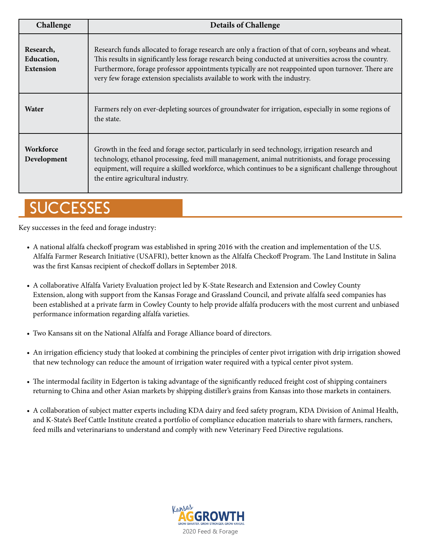| Challenge                                          | <b>Details of Challenge</b>                                                                                                                                                                                                                                                                                                                                                                       |
|----------------------------------------------------|---------------------------------------------------------------------------------------------------------------------------------------------------------------------------------------------------------------------------------------------------------------------------------------------------------------------------------------------------------------------------------------------------|
| Research,<br><b>Education,</b><br><b>Extension</b> | Research funds allocated to forage research are only a fraction of that of corn, soybeans and wheat.<br>This results in significantly less forage research being conducted at universities across the country.<br>Furthermore, forage professor appointments typically are not reappointed upon turnover. There are<br>very few forage extension specialists available to work with the industry. |
| Water                                              | Farmers rely on ever-depleting sources of groundwater for irrigation, especially in some regions of<br>the state.                                                                                                                                                                                                                                                                                 |
| <b>Workforce</b><br>Development                    | Growth in the feed and forage sector, particularly in seed technology, irrigation research and<br>technology, ethanol processing, feed mill management, animal nutritionists, and forage processing<br>equipment, will require a skilled workforce, which continues to be a significant challenge throughout<br>the entire agricultural industry.                                                 |

## **SUCCESSES**

Key successes in the feed and forage industry:

- A national alfalfa checkoff program was established in spring 2016 with the creation and implementation of the U.S. Alfalfa Farmer Research Initiative (USAFRI), better known as the Alfalfa Checkoff Program. The Land Institute in Salina was the first Kansas recipient of checkoff dollars in September 2018.
- A collaborative Alfalfa Variety Evaluation project led by K-State Research and Extension and Cowley County Extension, along with support from the Kansas Forage and Grassland Council, and private alfalfa seed companies has been established at a private farm in Cowley County to help provide alfalfa producers with the most current and unbiased performance information regarding alfalfa varieties.
- Two Kansans sit on the National Alfalfa and Forage Alliance board of directors.
- An irrigation efficiency study that looked at combining the principles of center pivot irrigation with drip irrigation showed that new technology can reduce the amount of irrigation water required with a typical center pivot system.
- The intermodal facility in Edgerton is taking advantage of the significantly reduced freight cost of shipping containers returning to China and other Asian markets by shipping distiller's grains from Kansas into those markets in containers.
- A collaboration of subject matter experts including KDA dairy and feed safety program, KDA Division of Animal Health, and K-State's Beef Cattle Institute created a portfolio of compliance education materials to share with farmers, ranchers, feed mills and veterinarians to understand and comply with new Veterinary Feed Directive regulations.

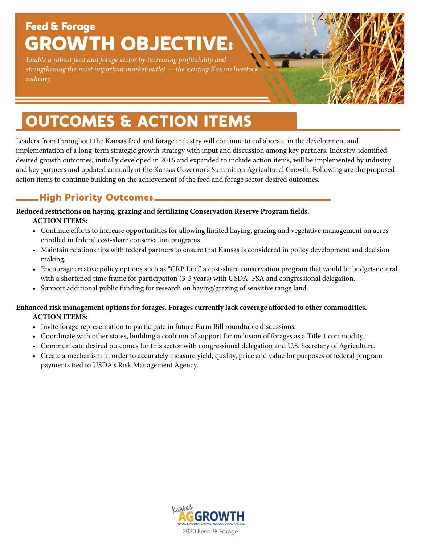## Feed & Forage ROWTH OBJECTIVE:

*Enable a robust feed and forage sector by increasing profitability and strengthening the most important market outlet — the existing Kansas livestock industry.*

# OUTCOMES & ACTION ITEMS

Leaders from throughout the Kansas feed and forage industry will continue to collaborate in the development and implementation of a long-term strategic growth strategy with input and discussion among key partners. Industry-identified desired growth outcomes, initially developed in 2016 and expanded to include action items, will be implemented by industry and key partners and updated annually at the Kansas Governor's Summit on Agricultural Growth. Following are the proposed action items to continue building on the achievement of the feed and forage sector desired outcomes.

### High Priority Outcomes

**Reduced restrictions on haying, grazing and fertilizing Conservation Reserve Program fields. ACTION ITEMS:**

- **•** Continue efforts to increase opportunities for allowing limited haying, grazing and vegetative management on acres enrolled in federal cost-share conservation programs.
- Maintain relationships with federal partners to ensure that Kansas is considered in policy development and decision making.
- Encourage creative policy options such as "CRP Lite," a cost-share conservation program that would be budget-neutral with a shortened time frame for participation (3-5 years) with USDA–FSA and congressional delegation.
- Support additional public funding for research on haying/grazing of sensitive range land.

#### **Enhanced risk management options for forages. Forages currently lack coverage afforded to other commodities. ACTION ITEMS:**

- **•** Invite forage representation to participate in future Farm Bill roundtable discussions.
- Coordinate with other states, building a coalition of support for inclusion of forages as a Title 1 commodity.
- Communicate desired outcomes for this sector with congressional delegation and U.S. Secretary of Agriculture.
- Create a mechanism in order to accurately measure yield, quality, price and value for purposes of federal program payments tied to USDA's Risk Management Agency.

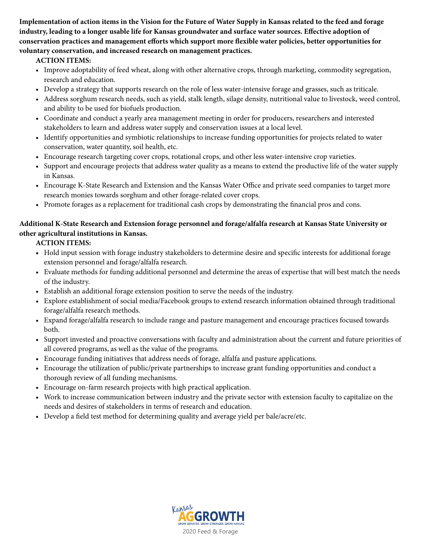**Implementation of action items in the Vision for the Future of Water Supply in Kansas related to the feed and forage industry, leading to a longer usable life for Kansas groundwater and surface water sources. Effective adoption of conservation practices and management efforts which support more flexible water policies, better opportunities for voluntary conservation, and increased research on management practices.**

#### **ACTION ITEMS:**

- Improve adoptability of feed wheat, along with other alternative crops, through marketing, commodity segregation, research and education.
- Develop a strategy that supports research on the role of less water-intensive forage and grasses, such as triticale.
- Address sorghum research needs, such as yield, stalk length, silage density, nutritional value to livestock, weed control, and ability to be used for biofuels production.
- Coordinate and conduct a yearly area management meeting in order for producers, researchers and interested stakeholders to learn and address water supply and conservation issues at a local level.
- Identify opportunities and symbiotic relationships to increase funding opportunities for projects related to water conservation, water quantity, soil health, etc.
- Encourage research targeting cover crops, rotational crops, and other less water-intensive crop varieties.
- Support and encourage projects that address water quality as a means to extend the productive life of the water supply in Kansas.
- Encourage K-State Research and Extension and the Kansas Water Office and private seed companies to target more research monies towards sorghum and other forage-related cover crops.
- Promote forages as a replacement for traditional cash crops by demonstrating the financial pros and cons.

#### **Additional K-State Research and Extension forage personnel and forage/alfalfa research at Kansas State University or other agricultural institutions in Kansas.**

#### **ACTION ITEMS:**

- **•** Hold input session with forage industry stakeholders to determine desire and specific interests for additional forage extension personnel and forage/alfalfa research.
- Evaluate methods for funding additional personnel and determine the areas of expertise that will best match the needs of the industry.
- Establish an additional forage extension position to serve the needs of the industry.
- Explore establishment of social media/Facebook groups to extend research information obtained through traditional forage/alfalfa research methods.
- Expand forage/alfalfa research to include range and pasture management and encourage practices focused towards both.
- Support invested and proactive conversations with faculty and administration about the current and future priorities of all covered programs, as well as the value of the programs.
- Encourage funding initiatives that address needs of forage, alfalfa and pasture applications.
- Encourage the utilization of public/private partnerships to increase grant funding opportunities and conduct a thorough review of all funding mechanisms.
- Encourage on-farm research projects with high practical application.
- Work to increase communication between industry and the private sector with extension faculty to capitalize on the needs and desires of stakeholders in terms of research and education.
- Develop a field test method for determining quality and average yield per bale/acre/etc.